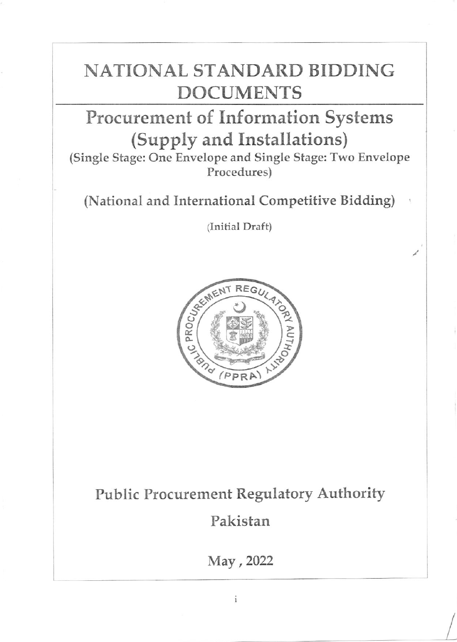# NATIONAL STANDARD BIDDING DOCUMENTS

# Procurement of Information Systems (Supply and Installations)

(Single Stage: One Envelope and Single Stage: Two Envelope Procedures)

(National and International Competitive Bidding)

(Initial Draft)



Public Procurement Regulatory Authority

Pakistan

May,2022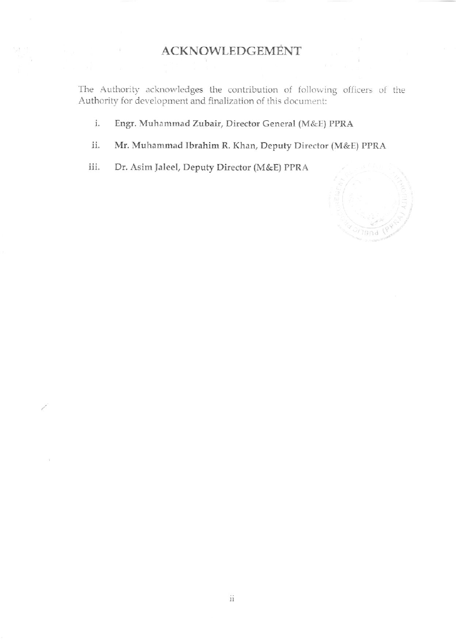### ACKNOWLEDGEMENT

The Authority acknowledges the contribution of following officers of the Authority for development and finalization of this document:

- i. Engr. Muhammad Zubair, Director General (M&E) PPRA
- ii. Mr. Muhammad Ibrahim R. Khan, Deputy Director (M&E) PPRA
- iii. Dr. Asim laleel, Deputy Director (M&E) PPRA

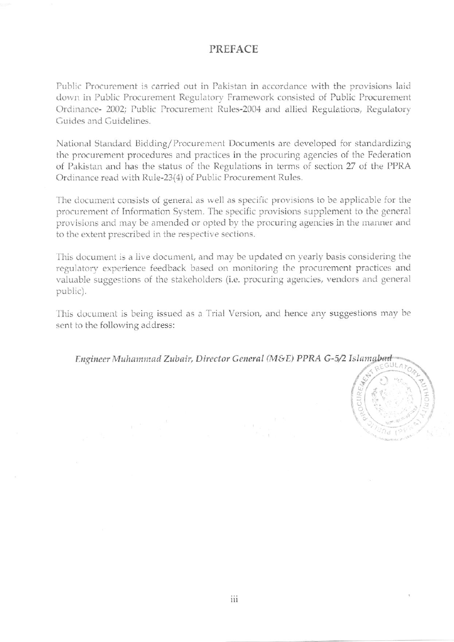#### **PREFACE**

Public Procurement is carried out in Pakistan in accordance with the provisions laid down in Public Procurement Regulatory Framework consisted of Public Procurement Ordinance- 2002; Public Procurement Rules-2004 and allied Regulations, Regulatory Guides and Guidelines.

National Standard Bidding/Procurement Documents are developed for standardizing the procurement procedures and practices in the procuring agencies of the Federation of Pakistan and has the status of the Regulations in terms of section 27 of the PPRA Ordinance read with Rule-23(4) of Public Procurement Rules.

The document consists of general as well as specific provisions to be applicable for the procurement of Information System. The specific provisions supplement to the general provisions and may be amended or opted by the procuring agencies in the manner and to the extent prescribed in the respective sections.

This document is a live document, and may be updated on yearly basis considering the regulatory experience feedback based on monitoring the procurement practices and valuable suggestions of the stakeholders (i.e. procuring agencies, vendors and general public).

This document is being issued as a Trial Version, and hence any suggestions may be sent to the following address:

Engineer Muhammad Zubair, Director General (M&E) PPRA G-5/2 Islamabad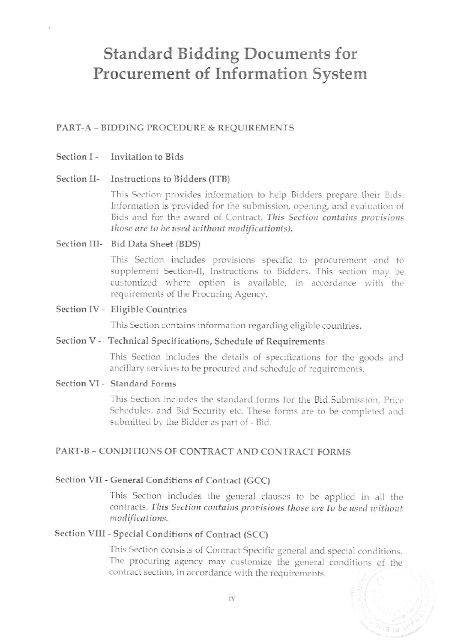### **Standard Bidding Documents for** Procurement of Information System

#### PART-A - BIDDING PROCEDURE & REQUIREMENTS

#### Section I - Invitation to Bids

#### Section II-Instructions to Bidders (ITB)

This Section provides information to help Bidders prepare their Bids. Information is provided for the submission, opening, and evaluation of Bids and for the award of Contract. This Section contains provisions those are to be used without modification(s).

#### Section III- Bid Data Sheet (BDS)

This Section includes provisions specific to procurement and to supplement Section-II, Instructions to Bidders. This section may be customized where option is available, in accordance with the requirements of the Procuring Agency.

#### Section IV - Eligible Countries

This Section contains information regarding eligible countries.

#### Section V - Technical Specifications, Schedule of Requirements

This Section includes the details of specifications for the goods and ancillary services to be procured and schedule of requirements.

#### Section VI - Standard Forms

This Section includes the standard forms for the Bid Submission. Price Schedules, and Bid Security etc. These forms are to be completed and submitted by the Bidder as part of - Bid.

#### PART-B - CONDITIONS OF CONTRACT AND CONTRACT FORMS

#### Section VII - General Conditions of Contract (GCC)

This Section includes the general clauses to be applied in all the contracts. This Section contains provisions those are to be used without modifications.

#### Section VIII - Special Conditions of Contract (SCC)

This Section consists of Contract Specific general and special conditions. The procuring agency may customize the general conditions of the contract section, in accordance with the requirements.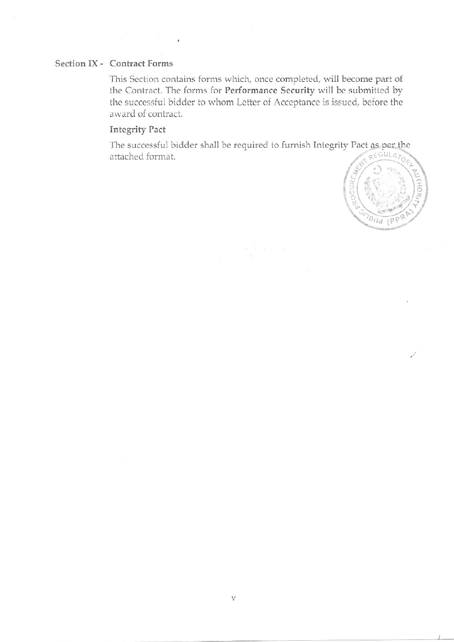#### Section IX - Contract Forms

This Section contains forms which, once completed, will become part of the Contract. The forms for Performance Security will be submitted by the successful bidder to whom Letter of Acceptance is issued, before the award of contract.

### **Integrity Pact**

The successful bidder shall be required to furnish Integrity Pact as per the REGULA<sub>1</sub> attached format.

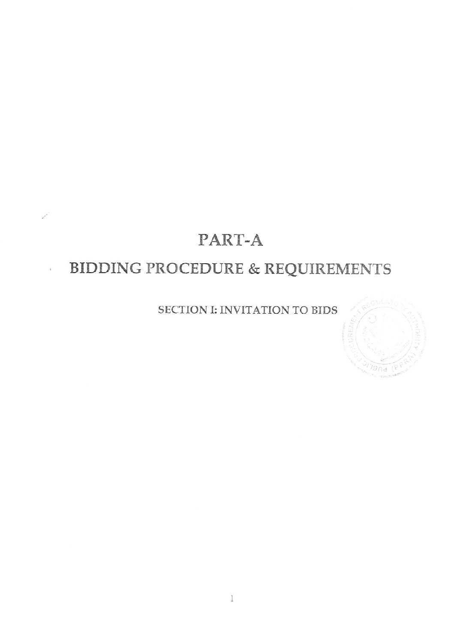## PART-A

## BIDDING PROCEDURE & REQUIREMENTS

 $\tilde{\chi}$ 

### SECTION I: INVITATION TO BIDS

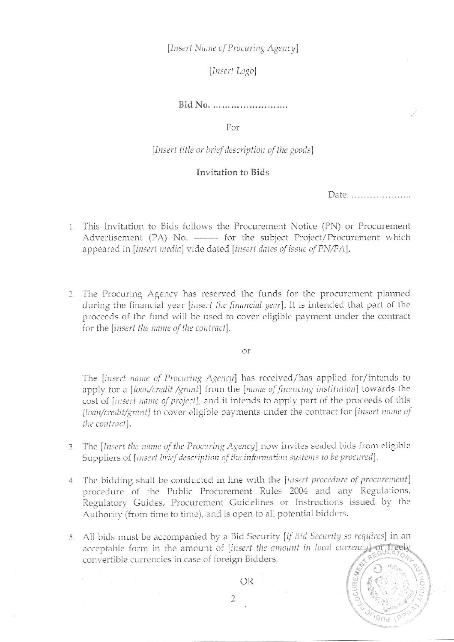[Insert Name of Procuring Agency]

#### [Insert Logo]

#### Bid No. .........................

For

[Insert title or brief description of the goods]

#### Invitation to Bids

Date: ......................

- 1. This Invitation to Bids follows the Procurement Notice (PN) or Procurement Advertisement (PA) No. -------- for the subject Project/Procurement which appeared in [insert media] vide dated [insert dates of issue of PN/PA].
- 2. The Procuring Agency has reserved the funds for the procurement planned during the financial year *[insert the financial year*]. It is intended that part of the proceeds of the fund will be used to cover eligible payment under the contract for the [insert the name of the contract].

or

The *[insert name of Procuring Agency]* has received/has applied for/intends to apply for a *[loan/credit /grant]* from the *[name of financing institution]* towards the cost of [insert name of project], and it intends to apply part of the proceeds of this [loan/credit/grant] to cover eligible payments under the contract for [insert name of the contract].

- 3. The [Insert the name of the Procuring Agency] now invites sealed bids from eligible Suppliers of [insert brief description of the information systems to be procured].
- 4. The bidding shall be conducted in line with the [insert procedure of procurement] procedure of the Public Procurement Rules 2004 and any Regulations, Regulatory Guides, Procurement Guidelines or Instructions issued by the Authority (from time to time), and is open to all potential bidders.
- 5. All bids must be accompanied by a Bid Security [if Bid Security so requires] in an acceptable form in the amount of [insert the amount in local currency] or freely convertible currencies in case of foreign Bidders.



OR